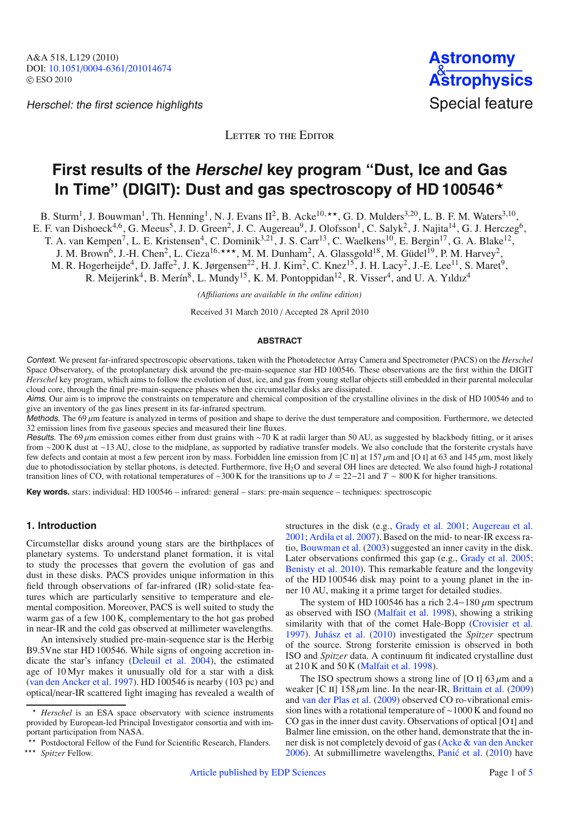Herschel: the first science highlights Special feature



LETTER TO THE EDITOR

# **First results of the Herschel key program "Dust, Ice and Gas In Time" (DIGIT): Dust and gas spectroscopy of HD 100546**-

B. Sturm<sup>1</sup>, J. Bouwman<sup>1</sup>, Th. Henning<sup>1</sup>, N. J. Evans II<sup>2</sup>, B. Acke<sup>10,\*\*</sup>, G. D. Mulders<sup>3,20</sup>, L. B. F. M. Waters<sup>3,10</sup>,

E. F. van Dishoeck<sup>4,6</sup>, G. Meeus<sup>5</sup>, J. D. Green<sup>2</sup>, J. C. Augereau<sup>9</sup>, J. Olofsson<sup>1</sup>, C. Salyk<sup>2</sup>, J. Najita<sup>14</sup>, G. J. Herczeg<sup>6</sup>,

T. A. van Kempen<sup>7</sup>, L. E. Kristensen<sup>4</sup>, C. Dominik<sup>3,21</sup>, J. S. Carr<sup>13</sup>, C. Waelkens<sup>10</sup>, E. Bergin<sup>17</sup>, G. A. Blake<sup>12</sup>,

J. M. Brown<sup>6</sup>, J.-H. Chen<sup>2</sup>, L. Cieza<sup>16,\*\*\*</sup>, M. M. Dunham<sup>2</sup>, A. Glassgold<sup>18</sup>, M. Güdel<sup>19</sup>, P. M. Harvey<sup>2</sup>,

M. R. Hogerheijde<sup>4</sup>, D. Jaffe<sup>2</sup>, J. K. Jørgensen<sup>22</sup>, H. J. Kim<sup>2</sup>, C. Knez<sup>15</sup>, J. H. Lacy<sup>2</sup>, J.-E. Lee<sup>11</sup>, S. Maret<sup>9</sup>,

R. Meijerink<sup>4</sup>, B. Merín<sup>8</sup>, L. Mundy<sup>15</sup>, K. M. Pontoppidan<sup>12</sup>, R. Visser<sup>4</sup>, and U. A. Yıldız<sup>4</sup>

*(A*ffi*liations are available in the online edition)*

Received 31 March 2010 / Accepted 28 April 2010

## **ABSTRACT**

Context. We present far-infrared spectroscopic observations, taken with the Photodetector Array Camera and Spectrometer (PACS) on the *Herschel* Space Observatory, of the protoplanetary disk around the pre-main-sequence star HD 100546. These observations are the first within the DIGIT *Herschel* key program, which aims to follow the evolution of dust, ice, and gas from young stellar objects still embedded in their parental molecular cloud core, through the final pre-main-sequence phases when the circumstellar disks are dissipated.

Aims. Our aim is to improve the constraints on temperature and chemical composition of the crystalline olivines in the disk of HD 100546 and to give an inventory of the gas lines present in its far-infrared spectrum.

Methods. The 69  $\mu$ m feature is analyzed in terms of position and shape to derive the dust temperature and composition. Furthermore, we detected 32 emission lines from five gaseous species and measured their line fluxes.

Results. The 69 μm emission comes either from dust grains with ∼70 K at radii larger than 50 AU, as suggested by blackbody fitting, or it arises from ∼200 K dust at ∼13 AU, close to the midplane, as supported by radiative transfer models. We also conclude that the forsterite crystals have few defects and contain at most a few percent iron by mass. Forbidden line emission from [C II] at 157 μm and [O I] at 63 and 145 μm, most likely due to photodissociation by stellar photons, is detected. Furthermore, five H<sub>2</sub>O and several OH lines are detected. We also found high-J rotational transition lines of CO, with rotational temperatures of ∼300 K for the transitions up to *J* = 22−21 and *T* ∼ 800 K for higher transitions.

**Key words.** stars: individual: HD 100546 – infrared: general – stars: pre-main sequence – techniques: spectroscopic

## **1. Introduction**

Circumstellar disks around young stars are the birthplaces of planetary systems. To understand planet formation, it is vital to study the processes that govern the evolution of gas and dust in these disks. PACS provides unique information in this field through observations of far-infrared (IR) solid-state features which are particularly sensitive to temperature and elemental composition. Moreover, PACS is well suited to study the warm gas of a few 100 K, complementary to the hot gas probed in near-IR and the cold gas observed at millimeter wavelengths.

An intensively studied pre-main-sequence star is the Herbig B9.5Vne star HD 100546. While signs of ongoing accretion indicate the star's infancy [\(Deleuil et al. 2004\)](#page-3-0), the estimated age of 10 Myr makes it unusually old for a star with a disk [\(van den Ancker et al. 1997](#page-3-1)). HD 100546 is nearby (103 pc) and optical/near-IR scattered light imaging has revealed a wealth of structures in the disk (e.g., [Grady et al. 2001;](#page-3-2) [Augereau et al.](#page-3-3) [2001](#page-3-3); [Ardila et al. 2007](#page-3-4)). Based on the mid- to near-IR excess ratio, [Bouwman et al.](#page-3-5) [\(2003](#page-3-5)) suggested an inner cavity in the disk. Later observations confirmed this gap (e.g., [Grady et al. 2005](#page-3-6); [Benisty et al. 2010\)](#page-3-7). This remarkable feature and the longevity of the HD 100546 disk may point to a young planet in the inner 10 AU, making it a prime target for detailed studies.

The system of HD 100546 has a rich  $2.4-180 \mu m$  spectrum as observed with ISO [\(Malfait et al. 1998\)](#page-3-8), showing a striking similarity with that of the comet Hale-Bopp [\(Crovisier et al.](#page-3-9) [1997](#page-3-9)). [Juhász et al.](#page-3-10) [\(2010](#page-3-10)) investigated the *Spitzer* spectrum of the source. Strong forsterite emission is observed in both ISO and *Spitzer* data. A continuum fit indicated crystalline dust at 210 K and 50 K [\(Malfait et al. 1998](#page-3-8)).

The ISO spectrum shows a strong line of [O I]  $63 \mu m$  and a weaker [C II]  $158 \mu m$  line. In the near-IR, [Brittain et al.](#page-3-11) [\(2009\)](#page-3-11) and [van der Plas et al.](#page-3-12) [\(2009](#page-3-12)) observed CO ro-vibrational emission lines with a rotational temperature of ∼1000 K and found no CO gas in the inner dust cavity. Observations of optical [O i] and Balmer line emission, on the other hand, demonstrate that the inner disk is not completely devoid of gas [\(Acke & van den Ancker](#page-3-13)  $2006$ ). At submillimetre wavelengths, Panić et al.  $(2010)$  have

<sup>-</sup> *Herschel* is an ESA space observatory with science instruments provided by European-led Principal Investigator consortia and with important participation from NASA.

<sup>\*\*</sup> Postdoctoral Fellow of the Fund for Scientific Research, Flanders.

<sup>\*\*\*</sup> Spitzer Fellow.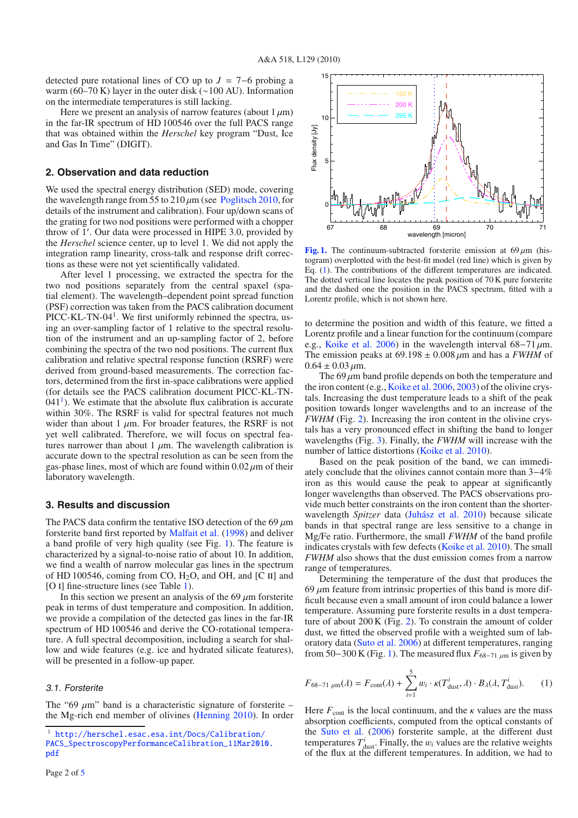detected pure rotational lines of CO up to *J* = 7−6 probing a warm (60–70 K) layer in the outer disk (∼100 AU). Information on the intermediate temperatures is still lacking.

Here we present an analysis of narrow features (about  $1 \mu m$ ) in the far-IR spectrum of HD 100546 over the full PACS range that was obtained within the *Herschel* key program "Dust, Ice and Gas In Time" (DIGIT).

## **2. Observation and data reduction**

We used the spectral energy distribution (SED) mode, covering the wavelength range from 55 to  $210 \mu m$  (see [Poglitsch 2010](#page-3-15), for details of the instrument and calibration). Four up/down scans of the grating for two nod positions were performed with a chopper throw of 1 . Our data were processed in HIPE 3.0, provided by the *Herschel* science center, up to level 1. We did not apply the integration ramp linearity, cross-talk and response drift corrections as these were not yet scientifically validated.

After level 1 processing, we extracted the spectra for the two nod positions separately from the central spaxel (spatial element). The wavelength–dependent point spread function (PSF) correction was taken from the PACS calibration document PICC-KL-TN-04<sup>1</sup>. We first uniformly rebinned the spectra, using an over-sampling factor of 1 relative to the spectral resolution of the instrument and an up-sampling factor of 2, before combining the spectra of the two nod positions. The current flux calibration and relative spectral response function (RSRF) were derived from ground-based measurements. The correction factors, determined from the first in-space calibrations were applied (for details see the PACS calibration document PICC-KL-TN- $041<sup>1</sup>$  $041<sup>1</sup>$  $041<sup>1</sup>$ ). We estimate that the absolute flux calibration is accurate within 30%. The RSRF is valid for spectral features not much wider than about 1  $\mu$ m. For broader features, the RSRF is not yet well calibrated. Therefore, we will focus on spectral features narrower than about 1  $\mu$ m. The wavelength calibration is accurate down to the spectral resolution as can be seen from the gas-phase lines, most of which are found within  $0.02 \mu m$  of their laboratory wavelength.

## **3. Results and discussion**

The PACS data confirm the tentative ISO detection of the 69  $\mu$ m forsterite band first reported by [Malfait et al.](#page-3-8) [\(1998\)](#page-3-8) and deliver a band profile of very high quality (see Fig. [1\)](#page-1-1). The feature is characterized by a signal-to-noise ratio of about 10. In addition, we find a wealth of narrow molecular gas lines in the spectrum of HD 100546, coming from CO,  $H<sub>2</sub>O$ , and OH, and [C II] and [O I] fine-structure lines (see Table [1\)](#page-2-0).

<span id="page-1-0"></span>In this section we present an analysis of the 69  $\mu$ m forsterite peak in terms of dust temperature and composition. In addition, we provide a compilation of the detected gas lines in the far-IR spectrum of HD 100546 and derive the CO-rotational temperature. A full spectral decomposition, including a search for shallow and wide features (e.g. ice and hydrated silicate features), will be presented in a follow-up paper.

## 3.1. Forsterite

The "69  $\mu$ m" band is a characteristic signature of forsterite – the Mg-rich end member of olivines [\(Henning 2010](#page-3-16)). In order

<span id="page-1-1"></span>

**[Fig. 1.](http://dexter.edpsciences.org/applet.php?DOI=10.1051/0004-6361/201014674&pdf_id=1)** The continuum-subtracted forsterite emission at  $69 \mu m$  (histogram) overplotted with the best-fit model (red line) which is given by Eq. [\(1\)](#page-1-2). The contributions of the different temperatures are indicated. The dotted vertical line locates the peak position of 70 K pure forsterite and the dashed one the position in the PACS spectrum, fitted with a Lorentz profile, which is not shown here.

to determine the position and width of this feature, we fitted a Lorentz profile and a linear function for the continuum (compare e.g., [Koike et al. 2006](#page-3-17)) in the wavelength interval  $68-71 \mu m$ . The emission peaks at  $69.198 \pm 0.008 \,\mu m$  and has a *FWHM* of  $0.64 \pm 0.03 \,\mu m$ .

The  $69 \mu m$  band profile depends on both the temperature and the iron content (e.g., [Koike et al. 2006,](#page-3-17) [2003](#page-3-18)) of the olivine crystals. Increasing the dust temperature leads to a shift of the peak position towards longer wavelengths and to an increase of the *FWHM* (Fig. [2\)](#page-2-1). Increasing the iron content in the olivine crystals has a very pronounced effect in shifting the band to longer wavelengths (Fig. [3\)](#page-2-2). Finally, the *FWHM* will increase with the number of lattice distortions [\(Koike et al. 2010\)](#page-3-19).

Based on the peak position of the band, we can immediately conclude that the olivines cannot contain more than 3−4% iron as this would cause the peak to appear at significantly longer wavelengths than observed. The PACS observations provide much better constraints on the iron content than the shorterwavelength *Spitzer* data [\(Juhász et al. 2010](#page-3-10)) because silicate bands in that spectral range are less sensitive to a change in Mg/Fe ratio. Furthermore, the small *FWHM* of the band profile indicates crystals with few defects [\(Koike et al. 2010\)](#page-3-19). The small *FWHM* also shows that the dust emission comes from a narrow range of temperatures.

<span id="page-1-2"></span>Determining the temperature of the dust that produces the 69  $\mu$ m feature from intrinsic properties of this band is more difficult because even a small amount of iron could balance a lower temperature. Assuming pure forsterite results in a dust temperature of about 200 K (Fig. [2\)](#page-2-1). To constrain the amount of colder dust, we fitted the observed profile with a weighted sum of laboratory data [\(Suto et al. 2006](#page-3-20)) at different temperatures, ranging from 50−300 K (Fig. [1\)](#page-1-1). The measured flux  $F_{68-71 \mu m}$  is given by

$$
F_{68-71 \mu m}(\lambda) = F_{\text{cont}}(\lambda) + \sum_{i=1}^{5} w_i \cdot \kappa(T_{\text{dust}}^i, \lambda) \cdot B_{\lambda}(\lambda, T_{\text{dust}}^i). \tag{1}
$$

Here  $F_{\text{cont}}$  is the local continuum, and the  $\kappa$  values are the mass absorption coefficients, computed from the optical constants of the [Suto et al.](#page-3-20) [\(2006\)](#page-3-20) forsterite sample, at the different dust temperatures  $T_{\text{dust}}^i$ . Finally, the  $w_i$  values are the relative weights of the flux at the different temperatures. In addition, we had to

<sup>1</sup> [http://herschel.esac.esa.int/Docs/Calibration/](http://herschel.esac.esa.int/Docs/Calibration/PACS_SpectroscopyPerformanceCalibration_11Mar2010.pdf) [PACS\\_SpectroscopyPerformanceCalibration\\_11Mar2010.](http://herschel.esac.esa.int/Docs/Calibration/PACS_SpectroscopyPerformanceCalibration_11Mar2010.pdf) [pdf](http://herschel.esac.esa.int/Docs/Calibration/PACS_SpectroscopyPerformanceCalibration_11Mar2010.pdf)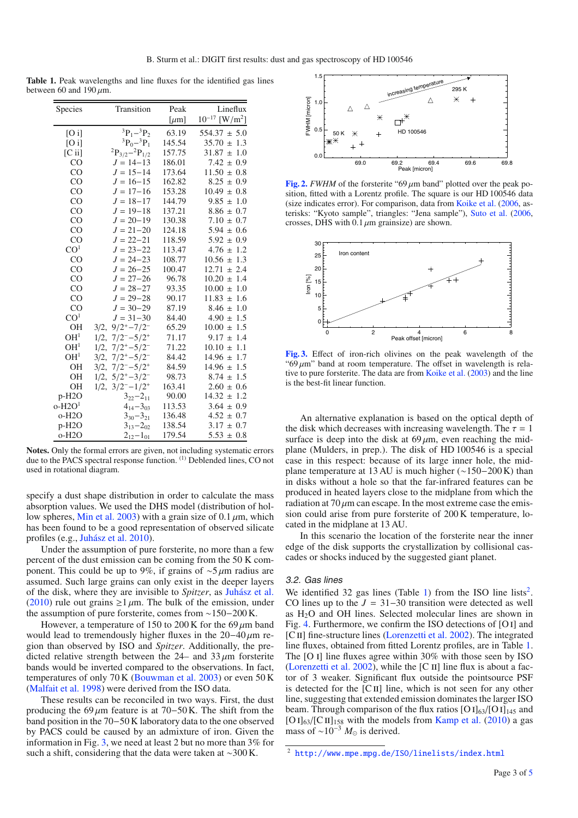<span id="page-2-0"></span>**Table 1.** Peak wavelengths and line fluxes for the identified gas lines between 60 and  $190 \mu m$ .

| Species         | Transition                      | Peak       | Lineflux                                  |
|-----------------|---------------------------------|------------|-------------------------------------------|
|                 |                                 | [ $\mu$ m] | $10^{-17}$<br>$\left[\text{W/m}^2\right]$ |
| $[O\,i]$        | ${}^{3}P_{1} - {}^{3}P_{2}$     | 63.19      | $554.37 \pm 5.0$                          |
| $[O\,i]$        | ${}^{3}P_{0} - {}^{3}P_{1}$     | 145.54     | $35.70 \pm 1.3$                           |
| $[C$ ii]        | ${}^{2}P_{3/2} - {}^{2}P_{1/2}$ | 157.75     | $31.87 \pm 1.0$                           |
| CO              | $J = 14 - 13$                   | 186.01     | $7.42 \pm 0.9$                            |
| CO              | $J = 15 - 14$                   | 173.64     | $11.50 \pm 0.8$                           |
| CO              | $J = 16 - 15$                   | 162.82     | $8.25 \pm 0.9$                            |
| $_{\rm CO}$     | $J = 17 - 16$                   | 153.28     | $10.49 \pm 0.8$                           |
| CO              | $J = 18 - 17$                   | 144.79     | $9.85 \pm 1.0$                            |
| CO              | $J = 19 - 18$                   | 137.21     | $8.86 \pm 0.7$                            |
| CO              | $J = 20 - 19$                   | 130.38     | $7.10 \pm 0.7$                            |
| $_{\rm CO}$     | $J = 21 - 20$                   | 124.18     | $5.94 \pm 0.6$                            |
| CO              | $J = 22 - 21$                   | 118.59     | $5.92 \pm 0.9$                            |
| CO <sup>1</sup> | $J = 23 - 22$                   | 113.47     | $4.76 \pm 1.2$                            |
| CO              | $J = 24 - 23$                   | 108.77     | $10.56 \pm$<br>1.3                        |
| CO              | $J = 26 - 25$                   | 100.47     | 12.71<br>2.4<br>$\pm$                     |
| CO              | $J = 27 - 26$                   | 96.78      | $10.20 \pm$<br>1.4                        |
| $_{\rm CO}$     | $J = 28 - 27$                   | 93.35      | $10.00 \pm$<br>1.0                        |
| CO              | $J = 29 - 28$                   | 90.17      | $11.83 \pm$<br>1.6                        |
| CO              | $J = 30 - 29$                   | 87.19      | $8.46 \pm 1.0$                            |
| CO <sup>1</sup> | $J = 31 - 30$                   | 84.40      | $4.90 \pm 1.5$                            |
| <b>OH</b>       | $3/2$ , $9/2^{+}$ - $7/2^{-}$   | 65.29      | $10.00 \pm 1.5$                           |
| OH <sup>1</sup> | $7/2^- - 5/2^+$<br>1/2,         | 71.17      | $9.17 \pm$<br>1.4                         |
| OH <sup>1</sup> | $7/2^{+}-5/2^{-}$<br>$1/2$ ,    | 71.22      | $10.10 \pm$<br>1.1                        |
| OH <sup>1</sup> | $7/2^{+}-5/2^{-}$<br>3/2,       | 84.42      | $14.96 \pm$<br>1.7                        |
| <b>OH</b>       | $7/2^- - 5/2^+$<br>3/2,         | 84.59      | 14.96 $\pm$<br>1.5                        |
| <b>OH</b>       | $5/2^{+} - 3/2^{-}$<br>$1/2$ ,  | 98.73      | $8.74 \pm 1.5$                            |
| <b>OH</b>       | $3/2^- - 1/2^+$<br>1/2,         | 163.41     | $2.60 \pm 0.6$                            |
| $p-H2O$         | $3_{22}-2_{11}$                 | 90.00      | $14.32 \pm 1.2$                           |
| $O-H2O1$        | $4_{14}-3_{03}$                 | 113.53     | $3.64 \pm 0.9$                            |
| $o-H2O$         | $3_{30} - 3_{21}$               | 136.48     | $4.52 \pm 0.7$                            |
| $p-H2O$         | $3_{13} - 2_{02}$               | 138.54     | $3.17 \pm 0.7$                            |
| $o-H2O$         | $2_{12}-1_{01}$                 | 179.54     | $5.53 \pm 0.8$                            |

**Notes.** Only the formal errors are given, not including systematic errors due to the PACS spectral response function. (1) Deblended lines, CO not used in rotational diagram.

specify a dust shape distribution in order to calculate the mass absorption values. We used the DHS model (distribution of hol-low spheres, [Min et al. 2003\)](#page-3-21) with a grain size of 0.1  $\mu$ m, which has been found to be a good representation of observed silicate profiles (e.g., [Juhász et al. 2010](#page-3-10)).

Under the assumption of pure forsterite, no more than a few percent of the dust emission can be coming from the 50 K component. This could be up to 9%, if grains of  $\sim$ 5 μm radius are assumed. Such large grains can only exist in the deeper layers of the disk, where they are invisible to *Spitzer*, as [Juhász et al.](#page-3-10) [\(2010\)](#page-3-10) rule out grains  $\geq 1 \mu$ m. The bulk of the emission, under the assumption of pure forsterite, comes from ∼150−200 K.

However, a temperature of 150 to 200 K for the 69  $\mu$ m band would lead to tremendously higher fluxes in the  $20-40 \mu m$  region than observed by ISO and *Spitzer*. Additionally, the predicted relative strength between the  $24-$  and  $33 \mu m$  for sterite bands would be inverted compared to the observations. In fact, temperatures of only  $70 K$  [\(Bouwman et al. 2003\)](#page-3-5) or even  $50 K$ [\(Malfait et al. 1998](#page-3-8)) were derived from the ISO data.

These results can be reconciled in two ways. First, the dust producing the 69  $\mu$ m feature is at 70−50 K. The shift from the band position in the 70−50 K laboratory data to the one observed by PACS could be caused by an admixture of iron. Given the information in Fig. [3,](#page-2-2) we need at least 2 but no more than 3% for such a shift, considering that the data were taken at ∼300 K.

<span id="page-2-1"></span>

<span id="page-2-2"></span>[Fig. 2.](http://dexter.edpsciences.org/applet.php?DOI=10.1051/0004-6361/201014674&pdf_id=2) *FWHM* of the forsterite "69  $\mu$ m band" plotted over the peak position, fitted with a Lorentz profile. The square is our HD 100546 data (size indicates error). For comparison, data from [Koike et al.](#page-3-17) [\(2006,](#page-3-17) asterisks: "Kyoto sample", triangles: "Jena sample"), [Suto et al.](#page-3-20) [\(2006](#page-3-20), crosses, DHS with  $0.1 \mu$ m grainsize) are shown.



**[Fig. 3.](http://dexter.edpsciences.org/applet.php?DOI=10.1051/0004-6361/201014674&pdf_id=3)** Effect of iron-rich olivines on the peak wavelength of the " $69 \mu m$ " band at room temperature. The offset in wavelength is relative to pure forsterite. The data are from [Koike et al.](#page-3-18) [\(2003](#page-3-18)) and the line is the best-fit linear function.

An alternative explanation is based on the optical depth of the disk which decreases with increasing wavelength. The  $\tau = 1$ surface is deep into the disk at  $69 \mu m$ , even reaching the midplane (Mulders, in prep.). The disk of HD 100546 is a special case in this respect: because of its large inner hole, the midplane temperature at 13 AU is much higher  $(~150-200 \text{ K})$  than in disks without a hole so that the far-infrared features can be produced in heated layers close to the midplane from which the radiation at  $70 \mu$ m can escape. In the most extreme case the emission could arise from pure forsterite of 200 K temperature, located in the midplane at 13 AU.

In this scenario the location of the forsterite near the inner edge of the disk supports the crystallization by collisional cascades or shocks induced by the suggested giant planet.

#### 3.2. Gas lines

<span id="page-2-3"></span>We identified 32 gas lines (Table [1\)](#page-2-0) from the ISO line lists<sup>2</sup>. CO lines up to the  $J = 31-30$  transition were detected as well as H<sub>2</sub>O and OH lines. Selected molecular lines are shown in Fig. [4.](#page-3-22) Furthermore, we confirm the ISO detections of [O i] and [CII] fine-structure lines [\(Lorenzetti et al. 2002\)](#page-3-23). The integrated line fluxes, obtained from fitted Lorentz profiles, are in Table [1.](#page-2-0) The [O i] line fluxes agree within 30% with those seen by ISO [\(Lorenzetti et al. 2002](#page-3-23)), while the  $[C \, II]$  line flux is about a factor of 3 weaker. Significant flux outside the pointsource PSF is detected for the  $\lbrack$ CII] line, which is not seen for any other line, suggesting that extended emission dominates the larger ISO beam. Through comparison of the flux ratios  $[O I]_{63}/[O I]_{145}$  and [O I] $_{63}$ /[C II]<sub>158</sub> with the models from [Kamp et al.](#page-3-24) [\(2010\)](#page-3-24) a gas mass of  $\sim 10^{-3}$  *M*<sub>☉</sub> is derived.

<sup>2</sup> <http://www.mpe.mpg.de/ISO/linelists/index.html>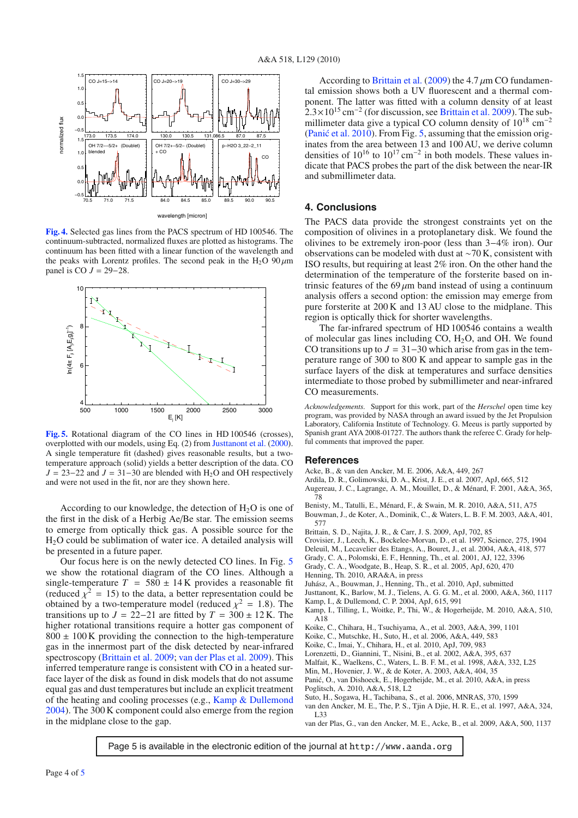<span id="page-3-22"></span>

**[Fig. 4.](http://dexter.edpsciences.org/applet.php?DOI=10.1051/0004-6361/201014674&pdf_id=4)** Selected gas lines from the PACS spectrum of HD 100546. The continuum-subtracted, normalized fluxes are plotted as histograms. The continuum has been fitted with a linear function of the wavelength and the peaks with Lorentz profiles. The second peak in the H<sub>2</sub>O  $90 \mu m$ panel is CO  $J = 29-28$ .

<span id="page-3-26"></span>

**[Fig. 5.](http://dexter.edpsciences.org/applet.php?DOI=10.1051/0004-6361/201014674&pdf_id=5)** Rotational diagram of the CO lines in HD 100546 (crosses), overplotted with our models, using Eq. (2) from [Justtanont et al.](#page-3-25) [\(2000\)](#page-3-25). A single temperature fit (dashed) gives reasonable results, but a twotemperature approach (solid) yields a better description of the data. CO  $J = 23-22$  and  $J = 31-30$  are blended with H<sub>2</sub>O and OH respectively and were not used in the fit, nor are they shown here.

According to our knowledge, the detection of  $H_2O$  is one of the first in the disk of a Herbig Ae/Be star. The emission seems to emerge from optically thick gas. A possible source for the H2O could be sublimation of water ice. A detailed analysis will be presented in a future paper.

Our focus here is on the newly detected CO lines. In Fig. [5](#page-3-26) we show the rotational diagram of the CO lines. Although a single-temperature  $T = 580 \pm 14$  K provides a reasonable fit (reduced  $\chi^2 = 15$ ) to the data, a better representation could be obtained by a two-temperature model (reduced  $\chi^2 = 1.8$ ). The transitions up to  $J = 22-21$  are fitted by  $T = 300 \pm 12$  K. The higher rotational transitions require a hotter gas component of  $800 \pm 100$  K providing the connection to the high-temperature gas in the innermost part of the disk detected by near-infrared spectroscopy [\(Brittain et al. 2009](#page-3-11); [van der Plas et al. 2009](#page-3-12)). This inferred temperature range is consistent with CO in a heated surface layer of the disk as found in disk models that do not assume equal gas and dust temperatures but include an explicit treatment of the heating and cooling processes (e.g., [Kamp & Dullemond](#page-3-27) [2004](#page-3-27)). The 300 K component could also emerge from the region in the midplane close to the gap.

According to [Brittain et al.](#page-3-11) [\(2009](#page-3-11)) the 4.7  $\mu$ m CO fundamental emission shows both a UV fluorescent and a thermal component. The latter was fitted with a column density of at least  $2.3 \times 10^{15}$  cm<sup>-2</sup> (for discussion, see [Brittain et al. 2009](#page-3-11)). The submillimeter data give a typical CO column density of  $10^{18}$  cm<sup>-2</sup> [\(Panic et al. 2010](#page-3-14)). From Fig. [5,](#page-3-26) assuming that the emission originates from the area between 13 and 100 AU, we derive column densities of  $10^{16}$  to  $10^{17}$  cm<sup>-2</sup> in both models. These values indicate that PACS probes the part of the disk between the near-IR and submillimeter data.

# **4. Conclusions**

The PACS data provide the strongest constraints yet on the composition of olivines in a protoplanetary disk. We found the olivines to be extremely iron-poor (less than 3−4% iron). Our observations can be modeled with dust at ∼70 K, consistent with ISO results, but requiring at least 2% iron. On the other hand the determination of the temperature of the forsterite based on intrinsic features of the 69  $\mu$ m band instead of using a continuum analysis offers a second option: the emission may emerge from pure forsterite at 200 K and 13 AU close to the midplane. This region is optically thick for shorter wavelengths.

The far-infrared spectrum of HD 100546 contains a wealth of molecular gas lines including CO, H2O, and OH. We found CO transitions up to  $J = 31-30$  which arise from gas in the temperature range of 300 to 800 K and appear to sample gas in the surface layers of the disk at temperatures and surface densities intermediate to those probed by submillimeter and near-infrared CO measurements.

*Acknowledgements.* Support for this work, part of the *Herschel* open time key program, was provided by NASA through an award issued by the Jet Propulsion Laboratory, California Institute of Technology. G. Meeus is partly supported by Spanish grant AYA 2008-01727. The authors thank the referee C. Grady for helpful comments that improved the paper.

## **References**

- <span id="page-3-13"></span><span id="page-3-4"></span>Acke, B., & van den Ancker, M. E. 2006, A&A, 449, 267
- Ardila, D. R., Golimowski, D. A., Krist, J. E., et al. 2007, ApJ, 665, 512
- <span id="page-3-3"></span>Augereau, J. C., Lagrange, A. M., Mouillet, D., & Ménard, F. 2001, A&A, 365, 78
- <span id="page-3-7"></span><span id="page-3-5"></span>Benisty, M., Tatulli, E., Ménard, F., & Swain, M. R. 2010, A&A, 511, A75
- Bouwman, J., de Koter, A., Dominik, C., & Waters, L. B. F. M. 2003, A&A, 401, 577
- <span id="page-3-11"></span>Brittain, S. D., Najita, J. R., & Carr, J. S. 2009, ApJ, 702, 85
- Crovisier, J., Leech, K., Bockelee-Morvan, D., et al. 1997, Science, 275, 1904
- <span id="page-3-9"></span><span id="page-3-2"></span><span id="page-3-0"></span>Deleuil, M., Lecavelier des Etangs, A., Bouret, J., et al. 2004, A&A, 418, 577
- Grady, C. A., Polomski, E. F., Henning, Th., et al. 2001, AJ, 122, 3396
- Grady, C. A., Woodgate, B., Heap, S. R., et al. 2005, ApJ, 620, 470
- <span id="page-3-16"></span><span id="page-3-6"></span>Henning, Th. 2010, ARA&A, in press
- <span id="page-3-10"></span>Juhász, A., Bouwman, J., Henning, Th., et al. 2010, ApJ, submitted
- Justtanont, K., Barlow, M. J., Tielens, A. G. G. M., et al. 2000, A&A, 360, 1117
- <span id="page-3-27"></span><span id="page-3-25"></span>Kamp, I., & Dullemond, C. P. 2004, ApJ, 615, 991
- <span id="page-3-24"></span>Kamp, I., Tilling, I., Woitke, P., Thi, W., & Hogerheijde, M. 2010, A&A, 510, A18
- Koike, C., Chihara, H., Tsuchiyama, A., et al. 2003, A&A, 399, 1101
- <span id="page-3-18"></span>Koike, C., Mutschke, H., Suto, H., et al. 2006, A&A, 449, 583
- <span id="page-3-19"></span><span id="page-3-17"></span>Koike, C., Imai, Y., Chihara, H., et al. 2010, ApJ, 709, 983
- Lorenzetti, D., Giannini, T., Nisini, B., et al. 2002, A&A, 395, 637
- <span id="page-3-23"></span>Malfait, K., Waelkens, C., Waters, L. B. F. M., et al. 1998, A&A, 332, L25
- <span id="page-3-8"></span>Min, M., Hovenier, J. W., & de Koter, A. 2003, A&A, 404, 35
- <span id="page-3-21"></span><span id="page-3-15"></span><span id="page-3-14"></span>Panic, O., van Dishoeck, E., Hogerheijde, M., et al. 2010, A&A, in press ´
- Poglitsch, A. 2010, A&A, 518, L2
- <span id="page-3-20"></span><span id="page-3-1"></span>Suto, H., Sogawa, H., Tachibana, S., et al. 2006, MNRAS, 370, 1599
- van den Ancker, M. E., The, P. S., Tjin A Djie, H. R. E., et al. 1997, A&A, 324, L33
- <span id="page-3-12"></span>van der Plas, G., van den Ancker, M. E., Acke, B., et al. 2009, A&A, 500, 1137

Page 5 is available in the electronic edition of the journal at http://www.aanda.org